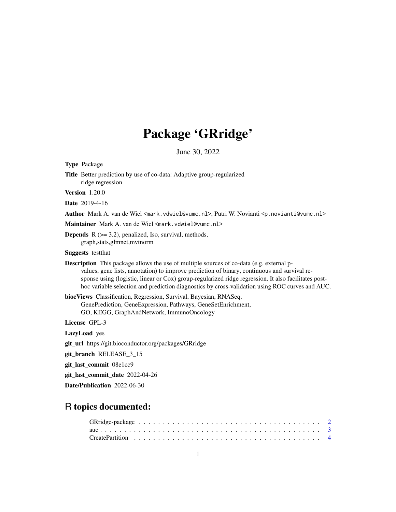# Package 'GRridge'

June 30, 2022

<span id="page-0-0"></span>

| <b>Type Package</b>                                                                                                                                                                                                                                                                                                                                                                                        |
|------------------------------------------------------------------------------------------------------------------------------------------------------------------------------------------------------------------------------------------------------------------------------------------------------------------------------------------------------------------------------------------------------------|
| <b>Title</b> Better prediction by use of co-data: Adaptive group-regularized<br>ridge regression                                                                                                                                                                                                                                                                                                           |
| <b>Version</b> 1.20.0                                                                                                                                                                                                                                                                                                                                                                                      |
| <b>Date</b> 2019-4-16                                                                                                                                                                                                                                                                                                                                                                                      |
| Author Mark A. van de Wiel <mark.vdwiel@vumc.nl>, Putri W. Novianti <p.novianti@vumc.nl></p.novianti@vumc.nl></mark.vdwiel@vumc.nl>                                                                                                                                                                                                                                                                        |
| Maintainer Mark A. van de Wiel <mark. vdwiel@vumc.nl=""></mark.>                                                                                                                                                                                                                                                                                                                                           |
| <b>Depends</b> $R$ ( $>=$ 3.2), penalized, Iso, survival, methods,<br>graph, stats, glmnet, mytnorm                                                                                                                                                                                                                                                                                                        |
| <b>Suggests</b> test that                                                                                                                                                                                                                                                                                                                                                                                  |
| <b>Description</b> This package allows the use of multiple sources of co-data (e.g. external p-<br>values, gene lists, annotation) to improve prediction of binary, continuous and survival re-<br>sponse using (logistic, linear or Cox) group-regularized ridge regression. It also facilitates post-<br>hoc variable selection and prediction diagnostics by cross-validation using ROC curves and AUC. |
| biocViews Classification, Regression, Survival, Bayesian, RNASeq,<br>GenePrediction, GeneExpression, Pathways, GeneSetEnrichment,<br>GO, KEGG, GraphAndNetwork, ImmunoOncology                                                                                                                                                                                                                             |
| License GPL-3                                                                                                                                                                                                                                                                                                                                                                                              |
| <b>LazyLoad</b> yes                                                                                                                                                                                                                                                                                                                                                                                        |
| git_url https://git.bioconductor.org/packages/GRridge                                                                                                                                                                                                                                                                                                                                                      |
| git_branch RELEASE_3_15                                                                                                                                                                                                                                                                                                                                                                                    |
| git_last_commit 08e1cc9                                                                                                                                                                                                                                                                                                                                                                                    |
| git_last_commit_date 2022-04-26                                                                                                                                                                                                                                                                                                                                                                            |
| Date/Publication 2022-06-30                                                                                                                                                                                                                                                                                                                                                                                |

## R topics documented: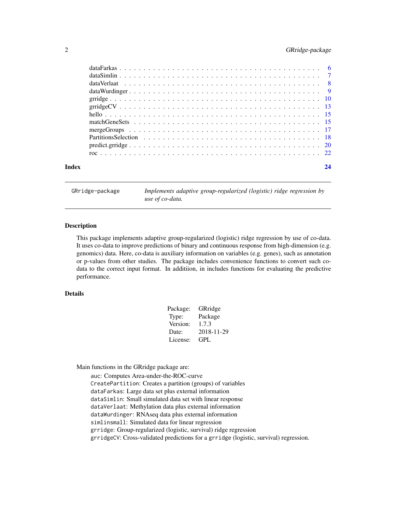## <span id="page-1-0"></span>2 GRridge-package

| Index |  |  |  |  |  |  |  |  |  |  |  |  |  | 24 |
|-------|--|--|--|--|--|--|--|--|--|--|--|--|--|----|

GRridge-package *Implements adaptive group-regularized (logistic) ridge regression by use of co-data.*

## Description

This package implements adaptive group-regularized (logistic) ridge regression by use of co-data. It uses co-data to improve predictions of binary and continuous response from high-dimension (e.g. genomics) data. Here, co-data is auxiliary information on variables (e.g. genes), such as annotation or p-values from other studies. The package includes convenience functions to convert such codata to the correct input format. In additiion, in includes functions for evaluating the predictive performance.

## Details

| Package: | GRridge    |
|----------|------------|
| Type:    | Package    |
| Version: | 1.7.3      |
| Date:    | 2018-11-29 |
| License: | GPL        |
|          |            |

Main functions in the GRridge package are:

auc: Computes Area-under-the-ROC-curve CreatePartition: Creates a partition (groups) of variables dataFarkas: Large data set plus external information dataSimlin: Small simulated data set with linear response dataVerlaat: Methylation data plus external information dataWurdinger: RNAseq data plus external information simlinsmall: Simulated data for linear regression grridge: Group-regularized (logistic, survival) ridge regression grridgeCV: Cross-validated predictions for a grridge (logistic, survival) regression.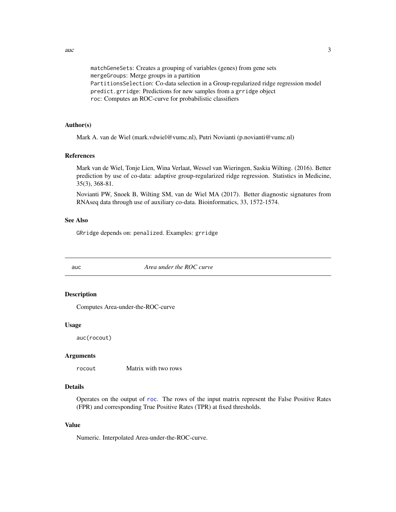<span id="page-2-0"></span> $\alpha$  3

matchGeneSets: Creates a grouping of variables (genes) from gene sets mergeGroups: Merge groups in a partition PartitionsSelection: Co-data selection in a Group-regularized ridge regression model predict.grridge: Predictions for new samples from a grridge object roc: Computes an ROC-curve for probabilistic classifiers

## Author(s)

Mark A. van de Wiel (mark.vdwiel@vumc.nl), Putri Novianti (p.novianti@vumc.nl)

## References

Mark van de Wiel, Tonje Lien, Wina Verlaat, Wessel van Wieringen, Saskia Wilting. (2016). Better prediction by use of co-data: adaptive group-regularized ridge regression. Statistics in Medicine, 35(3), 368-81.

Novianti PW, Snoek B, Wilting SM, van de Wiel MA (2017). Better diagnostic signatures from RNAseq data through use of auxiliary co-data. Bioinformatics, 33, 1572-1574.

## See Also

GRridge depends on: penalized. Examples: grridge

<span id="page-2-1"></span>

auc *Area under the ROC curve*

## Description

Computes Area-under-the-ROC-curve

### Usage

auc(rocout)

## Arguments

rocout Matrix with two rows

## Details

Operates on the output of [roc](#page-21-1). The rows of the input matrix represent the False Positive Rates (FPR) and corresponding True Positive Rates (TPR) at fixed thresholds.

## Value

Numeric. Interpolated Area-under-the-ROC-curve.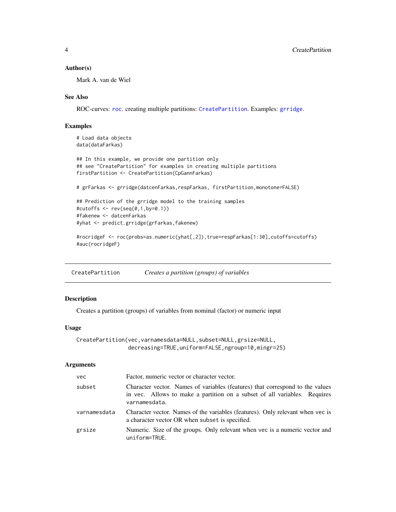## <span id="page-3-0"></span>Author(s)

Mark A. van de Wiel

## See Also

ROC-curves: [roc](#page-21-1). creating multiple partitions: [CreatePartition](#page-3-1). Examples: [grridge](#page-9-1).

## Examples

```
# Load data objects
data(dataFarkas)
## In this example, we provide one partition only
## see "CreatePartition" for examples in creating multiple partitions
firstPartition <- CreatePartition(CpGannFarkas)
# grFarkas <- grridge(datcenFarkas,respFarkas, firstPartition,monotone=FALSE)
## Prediction of the grridge model to the training samples
#cutoffs <- rev(seq(0,1,by=0.1))
#fakenew <- datcenFarkas
#yhat <- predict.grridge(grFarkas,fakenew)
#rocridgeF <- roc(probs=as.numeric(yhat[,2]),true=respFarkas[1:30],cutoffs=cutoffs)
#auc(rocridgeF)
```
<span id="page-3-1"></span>CreatePartition *Creates a partition (groups) of variables*

## Description

Creates a partition (groups) of variables from nominal (factor) or numeric input

## Usage

```
CreatePartition(vec,varnamesdata=NULL,subset=NULL,grsize=NULL,
                decreasing=TRUE,uniform=FALSE,ngroup=10,mingr=25)
```
## Arguments

| <b>vec</b>   | Factor, numeric vector or character vector.                                                                                                                                 |
|--------------|-----------------------------------------------------------------------------------------------------------------------------------------------------------------------------|
| subset       | Character vector. Names of variables (features) that correspond to the values<br>in vec. Allows to make a partition on a subset of all variables. Requires<br>varnamesdata. |
| varnamesdata | Character vector. Names of the variables (features). Only relevant when vec is<br>a character vector OR when subset is specified.                                           |
| grsize       | Numeric. Size of the groups. Only relevant when vec is a numeric vector and<br>uniform=TRUE.                                                                                |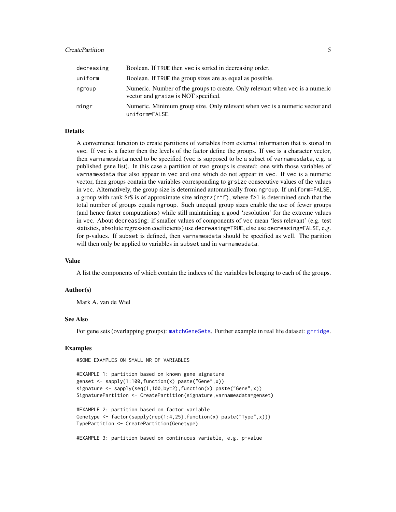## <span id="page-4-0"></span>**CreatePartition** 5

| decreasing | Boolean. If TRUE then vec is sorted in decreasing order.                                                            |
|------------|---------------------------------------------------------------------------------------------------------------------|
| uniform    | Boolean. If TRUE the group sizes are as equal as possible.                                                          |
| ngroup     | Numeric. Number of the groups to create. Only relevant when vec is a numeric<br>vector and grsize is NOT specified. |
| mingr      | Numeric. Minimum group size. Only relevant when vec is a numeric vector and<br>uniform=FALSE.                       |

## Details

A convenience function to create partitions of variables from external information that is stored in vec. If vec is a factor then the levels of the factor define the groups. If vec is a character vector, then varnamesdata need to be specified (vec is supposed to be a subset of varnamesdata, e.g. a published gene list). In this case a partition of two groups is created: one with those variables of varnamesdata that also appear in vec and one which do not appear in vec. If vec is a numeric vector, then groups contain the variables corresponding to grsize consecutive values of the values in vec. Alternatively, the group size is determined automatically from ngroup. If uniform=FALSE, a group with rank  $\frac{1}{2}$  is of approximate size mingr\*(r^f), where f>1 is determined such that the total number of groups equals ngroup. Such unequal group sizes enable the use of fewer groups (and hence faster computations) while still maintaining a good 'resolution' for the extreme values in vec. About decreasing: if smaller values of components of vec mean 'less relevant' (e.g. test statistics, absolute regression coefficients) use decreasing=TRUE, else use decreasing=FALSE, e.g. for p-values. If subset is defined, then varnamesdata should be specified as well. The parition will then only be applied to variables in subset and in varnamesdata.

## Value

A list the components of which contain the indices of the variables belonging to each of the groups.

## Author(s)

Mark A. van de Wiel

## See Also

For gene sets (overlapping groups): [matchGeneSets](#page-14-1). Further example in real life dataset: [grridge](#page-9-1).

## Examples

#SOME EXAMPLES ON SMALL NR OF VARIABLES

```
#EXAMPLE 1: partition based on known gene signature
genset <- sapply(1:100,function(x) paste("Gene",x))
signature \leq sapply(seq(1,100,by=2),function(x) paste("Gene",x))
SignaturePartition <- CreatePartition(signature, varnamesdata=genset)
```

```
#EXAMPLE 2: partition based on factor variable
Genetype \leq factor(sapply(rep(1:4,25), function(x) paste("Type",x)))
TypePartition <- CreatePartition(Genetype)
```
#EXAMPLE 3: partition based on continuous variable, e.g. p-value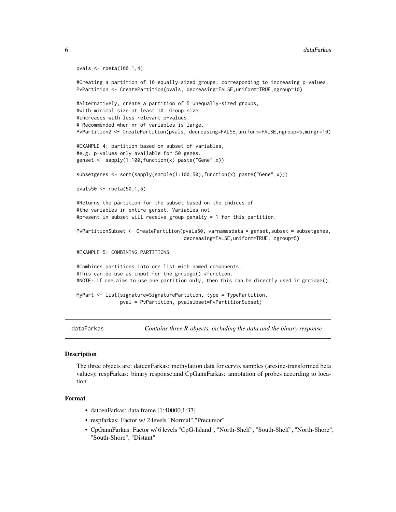```
pvals <- rbeta(100,1,4)
#Creating a partition of 10 equally-sized groups, corresponding to increasing p-values.
PvPartition <- CreatePartition(pvals, decreasing=FALSE, uniform=TRUE, ngroup=10)
#Alternatively, create a partition of 5 unequally-sized groups,
#with minimal size at least 10. Group size
#increases with less relevant p-values.
# Recommended when nr of variables is large.
PvPartition2 <- CreatePartition(pvals, decreasing=FALSE,uniform=FALSE,ngroup=5,mingr=10)
#EXAMPLE 4: partition based on subset of variables,
#e.g. p-values only available for 50 genes.
genset <- sapply(1:100,function(x) paste("Gene",x))
subsetgenes <- sort(sapply(sample(1:100,50),function(x) paste("Gene",x)))
pvals50 <- rbeta(50,1,6)
#Returns the partition for the subset based on the indices of
#the variables in entire genset. Variables not
#present in subset will receive group-penalty = 1 for this partition.
PvPartitionSubset <- CreatePartition(pvals50, varnamesdata = genset,subset = subsetgenes,
                                     decreasing=FALSE,uniform=TRUE, ngroup=5)
#EXAMPLE 5: COMBINING PARTITIONS
#Combines partitions into one list with named components.
#This can be use as input for the grridge() #function.
#NOTE: if one aims to use one partition only, then this can be directly used in grridge().
MyPart <- list(signature=SignaturePartition, type = TypePartition,
               pval = PvPartition, pvalsubset=PvPartitionSubset)
```
dataFarkas *Contains three R-objects, including the data and the binary response*

## Description

The three objects are: datcenFarkas: methylation data for cervix samples (arcsine-transformed beta values); respFarkas: binary response;and CpGannFarkas: annotation of probes according to location

## Format

- datcenFarkas: data frame [1:40000,1:37]
- respfarkas: Factor w/ 2 levels "Normal","Precursor"
- CpGannFarkas: Factor w/ 6 levels "CpG-Island", "North-Shelf", "South-Shelf", "North-Shore", "South-Shore", "Distant"

<span id="page-5-0"></span>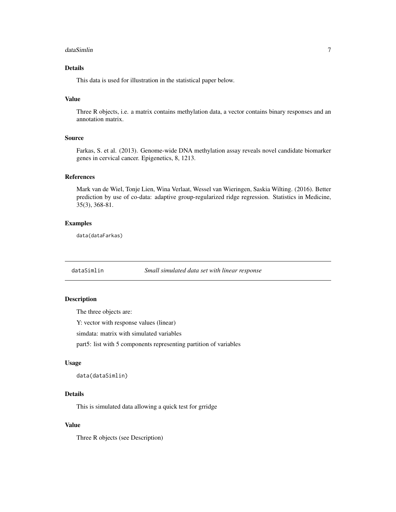## <span id="page-6-0"></span>dataSimlin 7

## Details

This data is used for illustration in the statistical paper below.

## Value

Three R objects, i.e. a matrix contains methylation data, a vector contains binary responses and an annotation matrix.

## Source

Farkas, S. et al. (2013). Genome-wide DNA methylation assay reveals novel candidate biomarker genes in cervical cancer. Epigenetics, 8, 1213.

## References

Mark van de Wiel, Tonje Lien, Wina Verlaat, Wessel van Wieringen, Saskia Wilting. (2016). Better prediction by use of co-data: adaptive group-regularized ridge regression. Statistics in Medicine, 35(3), 368-81.

## Examples

data(dataFarkas)

dataSimlin *Small simulated data set with linear response*

## Description

The three objects are:

Y: vector with response values (linear)

simdata: matrix with simulated variables

part5: list with 5 components representing partition of variables

## Usage

data(dataSimlin)

## Details

This is simulated data allowing a quick test for grridge

## Value

Three R objects (see Description)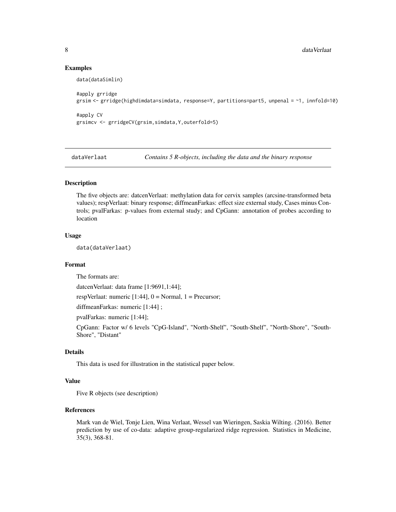## Examples

data(dataSimlin)

```
#apply grridge
grsim <- grridge(highdimdata=simdata, response=Y, partitions=part5, unpenal = ~1, innfold=10)
#apply CV
```
grsimcv <- grridgeCV(grsim,simdata,Y,outerfold=5)

dataVerlaat *Contains 5 R-objects, including the data and the binary response*

## Description

The five objects are: datcenVerlaat: methylation data for cervix samples (arcsine-transformed beta values); respVerlaat: binary response; diffmeanFarkas: effect size external study, Cases minus Controls; pvalFarkas: p-values from external study; and CpGann: annotation of probes according to location

## Usage

data(dataVerlaat)

## Format

The formats are:

datcenVerlaat: data frame [1:9691,1:44];

respVerlaat: numeric  $[1:44]$ ,  $0 = \text{Normal}$ ,  $1 = \text{Precursor}$ ;

diffmeanFarkas: numeric [1:44] ;

pvalFarkas: numeric [1:44];

CpGann: Factor w/ 6 levels "CpG-Island", "North-Shelf", "South-Shelf", "North-Shore", "South-Shore", "Distant"

## Details

This data is used for illustration in the statistical paper below.

## Value

Five R objects (see description)

## References

Mark van de Wiel, Tonje Lien, Wina Verlaat, Wessel van Wieringen, Saskia Wilting. (2016). Better prediction by use of co-data: adaptive group-regularized ridge regression. Statistics in Medicine, 35(3), 368-81.

<span id="page-7-0"></span>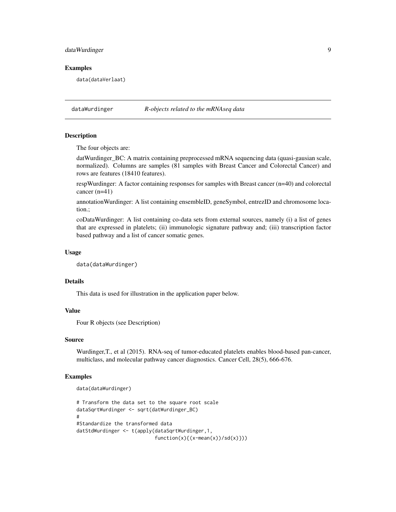## <span id="page-8-0"></span>dataWurdinger 9

## Examples

data(dataVerlaat)

dataWurdinger *R-objects related to the mRNAseq data*

## Description

The four objects are:

datWurdinger\_BC: A matrix containing preprocessed mRNA sequencing data (quasi-gausian scale, normalized). Columns are samples (81 samples with Breast Cancer and Colorectal Cancer) and rows are features (18410 features).

respWurdinger: A factor containing responses for samples with Breast cancer (n=40) and colorectal cancer (n=41)

annotationWurdinger: A list containing ensembleID, geneSymbol, entrezID and chromosome location.;

coDataWurdinger: A list containing co-data sets from external sources, namely (i) a list of genes that are expressed in platelets; (ii) immunologic signature pathway and; (iii) transcription factor based pathway and a list of cancer somatic genes.

## Usage

```
data(dataWurdinger)
```
## Details

This data is used for illustration in the application paper below.

## Value

Four R objects (see Description)

## Source

Wurdinger,T., et al (2015). RNA-seq of tumor-educated platelets enables blood-based pan-cancer, multiclass, and molecular pathway cancer diagnostics. Cancer Cell, 28(5), 666-676.

## Examples

```
data(dataWurdinger)
# Transform the data set to the square root scale
dataSqrtWurdinger <- sqrt(datWurdinger_BC)
#
#Standardize the transformed data
datStdWurdinger <- t(apply(dataSqrtWurdinger,1,
                           function(x){ (x-mean(x))}/sd(x)}
```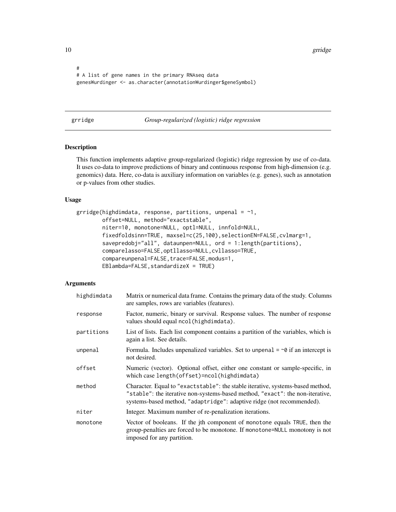10 gridge and the set of the set of the set of the set of the set of the set of the set of the set of the set of the set of the set of the set of the set of the set of the set of the set of the set of the set of the set of

```
#
# A list of gene names in the primary RNAseq data
genesWurdinger <- as.character(annotationWurdinger$geneSymbol)
```
<span id="page-9-1"></span>grridge *Group-regularized (logistic) ridge regression*

## Description

This function implements adaptive group-regularized (logistic) ridge regression by use of co-data. It uses co-data to improve predictions of binary and continuous response from high-dimension (e.g. genomics) data. Here, co-data is auxiliary information on variables (e.g. genes), such as annotation or p-values from other studies.

## Usage

```
grridge(highdimdata, response, partitions, unpenal = \sim1,
        offset=NULL, method="exactstable",
        niter=10, monotone=NULL, optl=NULL, innfold=NULL,
        fixedfoldsinn=TRUE, maxsel=c(25,100),selectionEN=FALSE,cvlmarg=1,
        savepredobj="all", dataunpen=NULL, ord = 1:length(partitions),
        comparelasso=FALSE,optllasso=NULL,cvllasso=TRUE,
        compareunpenal=FALSE, trace=FALSE, modus=1,
        EBlambda=FALSE,standardizeX = TRUE)
```
## Arguments

| highdimdata | Matrix or numerical data frame. Contains the primary data of the study. Columns<br>are samples, rows are variables (features).                                                                                                           |
|-------------|------------------------------------------------------------------------------------------------------------------------------------------------------------------------------------------------------------------------------------------|
| response    | Factor, numeric, binary or survival. Response values. The number of response<br>values should equal ncol (highdimdata).                                                                                                                  |
| partitions  | List of lists. Each list component contains a partition of the variables, which is<br>again a list. See details.                                                                                                                         |
| unpenal     | Formula. Includes unpenalized variables. Set to unpenal $= \infty$ if an intercept is<br>not desired.                                                                                                                                    |
| offset      | Numeric (vector). Optional offset, either one constant or sample-specific, in<br>which case length(offset)=ncol(highdimdata)                                                                                                             |
| method      | Character. Equal to "exactstable": the stable iterative, systems-based method,<br>"stable": the iterative non-systems-based method, "exact": the non-iterative,<br>systems-based method, "adaptridge": adaptive ridge (not recommended). |
| niter       | Integer. Maximum number of re-penalization iterations.                                                                                                                                                                                   |
| monotone    | Vector of booleans. If the jth component of monotone equals TRUE, then the<br>group-penalties are forced to be monotone. If monotone=NULL monotony is not<br>imposed for any partition.                                                  |

<span id="page-9-0"></span>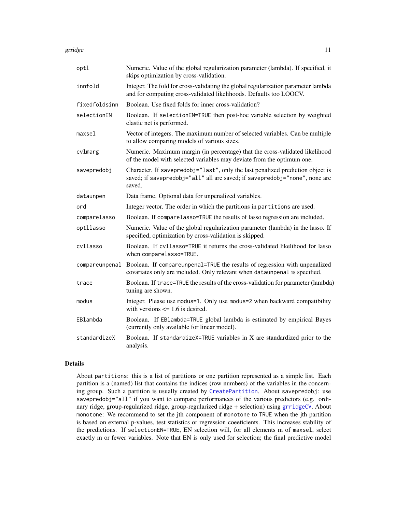<span id="page-10-0"></span>grridge that the set of the set of the set of the set of the set of the set of the set of the set of the set of the set of the set of the set of the set of the set of the set of the set of the set of the set of the set of

| Numeric. Value of the global regularization parameter (lambda). If specified, it<br>skips optimization by cross-validation.                                            |
|------------------------------------------------------------------------------------------------------------------------------------------------------------------------|
| Integer. The fold for cross-validating the global regularization parameter lambda<br>and for computing cross-validated likelihoods. Defaults too LOOCV.                |
| Boolean. Use fixed folds for inner cross-validation?                                                                                                                   |
| Boolean. If selectionEN=TRUE then post-hoc variable selection by weighted<br>elastic net is performed.                                                                 |
| Vector of integers. The maximum number of selected variables. Can be multiple<br>to allow comparing models of various sizes.                                           |
| Numeric. Maximum margin (in percentage) that the cross-validated likelihood<br>of the model with selected variables may deviate from the optimum one.                  |
| Character. If savepredobj="last", only the last penalized prediction object is<br>saved; if savepredobj="all" all are saved; if savepredobj="none", none are<br>saved. |
| Data frame. Optional data for unpenalized variables.                                                                                                                   |
| Integer vector. The order in which the partitions in partitions are used.                                                                                              |
| Boolean. If comparelasso=TRUE the results of lasso regression are included.                                                                                            |
| Numeric. Value of the global regularization parameter (lambda) in the lasso. If<br>specified, optimization by cross-validation is skipped.                             |
| Boolean. If cv11asso=TRUE it returns the cross-validated likelihood for lasso<br>when comparelasso=TRUE.                                                               |
| Boolean. If compareunpenal=TRUE the results of regression with unpenalized<br>covariates only are included. Only relevant when dataunpenal is specified.               |
| Boolean. If trace=TRUE the results of the cross-validation for parameter (lambda)<br>tuning are shown.                                                                 |
| Integer. Please use modus=1. Only use modus=2 when backward compatibility<br>with versions $\leq$ 1.6 is desired.                                                      |
| Boolean. If EBlambda=TRUE global lambda is estimated by empirical Bayes<br>(currently only available for linear model).                                                |
| Boolean. If standardizeX=TRUE variables in X are standardized prior to the<br>analysis.                                                                                |
|                                                                                                                                                                        |

## Details

About partitions: this is a list of partitions or one partition represented as a simple list. Each partition is a (named) list that contains the indices (row numbers) of the variables in the concerning group. Such a partition is usually created by [CreatePartition](#page-3-1). About savepredobj: use savepredobj="all" if you want to compare performances of the various predictors (e.g. ordinary ridge, group-regularized ridge, group-regularized ridge + selection) using [grridgeCV](#page-12-1). About monotone: We recommend to set the jth component of monotone to TRUE when the jth partition is based on external p-values, test statistics or regression coeeficients. This increases stability of the predictions. If selectionEN=TRUE, EN selection will, for all elements m of maxsel, select exactly m or fewer variables. Note that EN is only used for selection; the final predictive model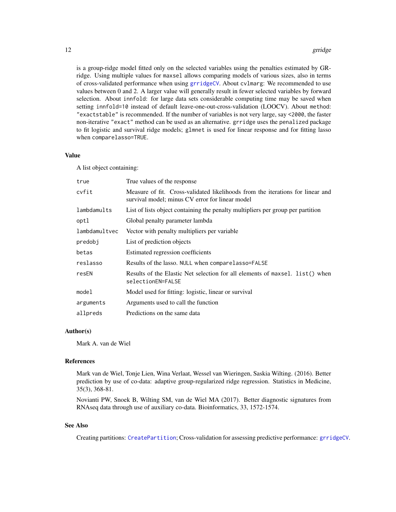<span id="page-11-0"></span>is a group-ridge model fitted only on the selected variables using the penalties estimated by GRridge. Using multiple values for maxsel allows comparing models of various sizes, also in terms of cross-validated performance when using [grridgeCV](#page-12-1). About cvlmarg: We recommended to use values between 0 and 2. A larger value will generally result in fewer selected variables by forward selection. About innfold: for large data sets considerable computing time may be saved when setting innfold=10 instead of default leave-one-out-cross-validation (LOOCV). About method: "exactstable" is recommended. If the number of variables is not very large, say <2000, the faster non-iterative "exact" method can be used as an alternative. grridge uses the penalized package to fit logistic and survival ridge models; glmnet is used for linear response and for fitting lasso when comparelasso=TRUE.

## Value

A list object containing:

| true          | True values of the response                                                                                                       |
|---------------|-----------------------------------------------------------------------------------------------------------------------------------|
| cvfit         | Measure of fit. Cross-validated likelihoods from the iterations for linear and<br>survival model; minus CV error for linear model |
| lambdamults   | List of lists object containing the penalty multipliers per group per partition                                                   |
| optl          | Global penalty parameter lambda                                                                                                   |
| lambdamultvec | Vector with penalty multipliers per variable.                                                                                     |
| predobj       | List of prediction objects                                                                                                        |
| betas         | Estimated regression coefficients                                                                                                 |
| reslasso      | Results of the lasso. NULL when comparelasso=FALSE                                                                                |
| resEN         | Results of the Elastic Net selection for all elements of maxsel. list() when<br>selectionEN=FALSE                                 |
| model         | Model used for fitting: logistic, linear or survival                                                                              |
| arguments     | Arguments used to call the function                                                                                               |
| allpreds      | Predictions on the same data                                                                                                      |

## Author(s)

Mark A. van de Wiel

## References

Mark van de Wiel, Tonje Lien, Wina Verlaat, Wessel van Wieringen, Saskia Wilting. (2016). Better prediction by use of co-data: adaptive group-regularized ridge regression. Statistics in Medicine, 35(3), 368-81.

Novianti PW, Snoek B, Wilting SM, van de Wiel MA (2017). Better diagnostic signatures from RNAseq data through use of auxiliary co-data. Bioinformatics, 33, 1572-1574.

## See Also

Creating partitions: [CreatePartition](#page-3-1); Cross-validation for assessing predictive performance: [grridgeCV](#page-12-1).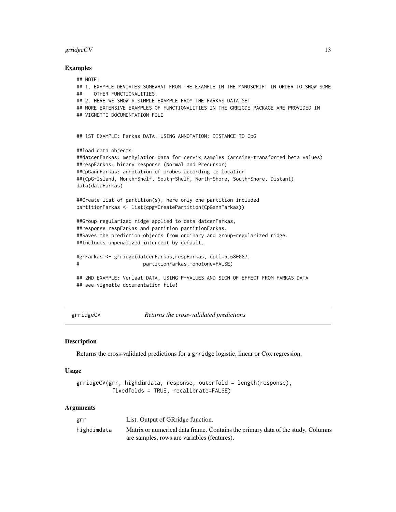## <span id="page-12-0"></span>grridge $CV$  13

## Examples

```
## NOTE:
## 1. EXAMPLE DEVIATES SOMEWHAT FROM THE EXAMPLE IN THE MANUSCRIPT IN ORDER TO SHOW SOME
## OTHER FUNCTIONALITIES.
## 2. HERE WE SHOW A SIMPLE EXAMPLE FROM THE FARKAS DATA SET
## MORE EXTENSIVE EXAMPLES OF FUNCTIONALITIES IN THE GRRIGDE PACKAGE ARE PROVIDED IN
## VIGNETTE DOCUMENTATION FILE
## 1ST EXAMPLE: Farkas DATA, USING ANNOTATION: DISTANCE TO CpG
##load data objects:
##datcenFarkas: methylation data for cervix samples (arcsine-transformed beta values)
##respFarkas: binary response (Normal and Precursor)
##CpGannFarkas: annotation of probes according to location
##(CpG-Island, North-Shelf, South-Shelf, North-Shore, South-Shore, Distant)
data(dataFarkas)
##Create list of partition(s), here only one partition included
partitionFarkas <- list(cpg=CreatePartition(CpGannFarkas))
##Group-regularized ridge applied to data datcenFarkas,
##response respFarkas and partition partitionFarkas.
##Saves the prediction objects from ordinary and group-regularized ridge.
##Includes unpenalized intercept by default.
#grFarkas <- grridge(datcenFarkas,respFarkas, optl=5.680087,
# partitionFarkas,monotone=FALSE)
## 2ND EXAMPLE: Verlaat DATA, USING P-VALUES AND SIGN OF EFFECT FROM FARKAS DATA
## see vignette documentation file!
```
<span id="page-12-1"></span>grridgeCV *Returns the cross-validated predictions*

## Description

Returns the cross-validated predictions for a grridge logistic, linear or Cox regression.

## Usage

```
grridgeCV(grr, highdimdata, response, outerfold = length(response),
           fixedfolds = TRUE, recalibrate=FALSE)
```
### Arguments

| grr         | List. Output of GRridge function.                                               |
|-------------|---------------------------------------------------------------------------------|
| highdimdata | Matrix or numerical data frame. Contains the primary data of the study. Columns |
|             | are samples, rows are variables (features).                                     |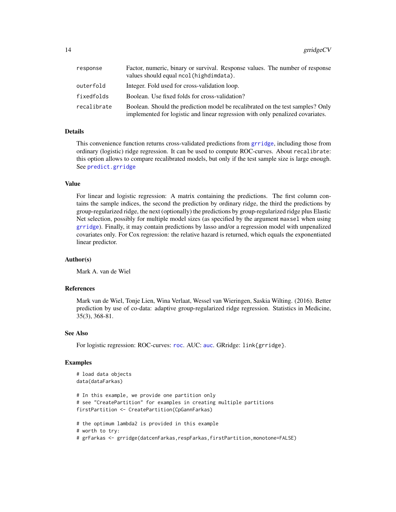<span id="page-13-0"></span>

| response    | Factor, numeric, binary or survival. Response values. The number of response<br>values should equal ncol(highdimdata).                                           |
|-------------|------------------------------------------------------------------------------------------------------------------------------------------------------------------|
| outerfold   | Integer. Fold used for cross-validation loop.                                                                                                                    |
| fixedfolds  | Boolean. Use fixed folds for cross-validation?                                                                                                                   |
| recalibrate | Boolean. Should the prediction model be recalibrated on the test samples? Only<br>implemented for logistic and linear regression with only penalized covariates. |

## Details

This convenience function returns cross-validated predictions from [grridge](#page-9-1), including those from ordinary (logistic) ridge regression. It can be used to compute ROC-curves. About recalibrate: this option allows to compare recalibrated models, but only if the test sample size is large enough. See [predict.grridge](#page-19-1)

## Value

For linear and logistic regression: A matrix containing the predictions. The first column contains the sample indices, the second the prediction by ordinary ridge, the third the predictions by group-regularized ridge, the next (optionally) the predictions by group-regularized ridge plus Elastic Net selection, possibly for multiple model sizes (as specified by the argument maxsel when using [grridge](#page-9-1)). Finally, it may contain predictions by lasso and/or a regression model with unpenalized covariates only. For Cox regression: the relative hazard is returned, which equals the exponentiated linear predictor.

## Author(s)

Mark A. van de Wiel

## References

Mark van de Wiel, Tonje Lien, Wina Verlaat, Wessel van Wieringen, Saskia Wilting. (2016). Better prediction by use of co-data: adaptive group-regularized ridge regression. Statistics in Medicine, 35(3), 368-81.

## See Also

For logistic regression: ROC-curves: [roc](#page-21-1). AUC: [auc](#page-2-1). GRridge: link{grridge}.

## Examples

```
# load data objects
data(dataFarkas)
# In this example, we provide one partition only
# see "CreatePartition" for examples in creating multiple partitions
firstPartition <- CreatePartition(CpGannFarkas)
# the optimum lambda2 is provided in this example
# worth to try:
# grFarkas <- grridge(datcenFarkas,respFarkas,firstPartition,monotone=FALSE)
```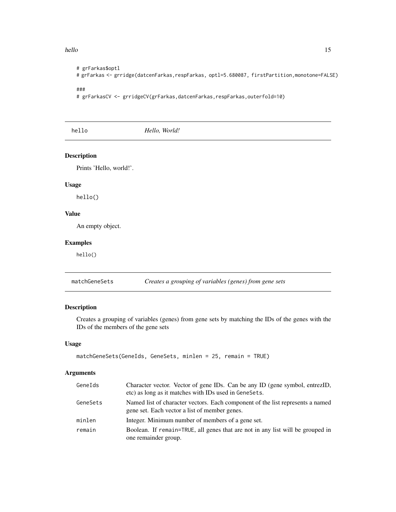## <span id="page-14-0"></span>hello and the state of the state of the state of the state of the state of the state of the state of the state of the state of the state of the state of the state of the state of the state of the state of the state of the

```
# grFarkas$optl
# grFarkas <- grridge(datcenFarkas,respFarkas, optl=5.680087, firstPartition,monotone=FALSE)
###
# grFarkasCV <- grridgeCV(grFarkas,datcenFarkas,respFarkas,outerfold=10)
```
hello *Hello, World!*

## Description

Prints 'Hello, world!'.

## Usage

hello()

## Value

An empty object.

## Examples

hello()

<span id="page-14-1"></span>matchGeneSets *Creates a grouping of variables (genes) from gene sets*

## Description

Creates a grouping of variables (genes) from gene sets by matching the IDs of the genes with the IDs of the members of the gene sets

## Usage

```
matchGeneSets(GeneIds, GeneSets, minlen = 25, remain = TRUE)
```
## Arguments

| GeneIds  | Character vector. Vector of gene IDs. Can be any ID (gene symbol, entrezID,<br>etc) as long as it matches with IDs used in GeneSets. |
|----------|--------------------------------------------------------------------------------------------------------------------------------------|
| GeneSets | Named list of character vectors. Each component of the list represents a named                                                       |
|          | gene set. Each vector a list of member genes.                                                                                        |
| minlen   | Integer. Minimum number of members of a gene set.                                                                                    |
| remain   | Boolean. If remain=TRUE, all genes that are not in any list will be grouped in<br>one remainder group.                               |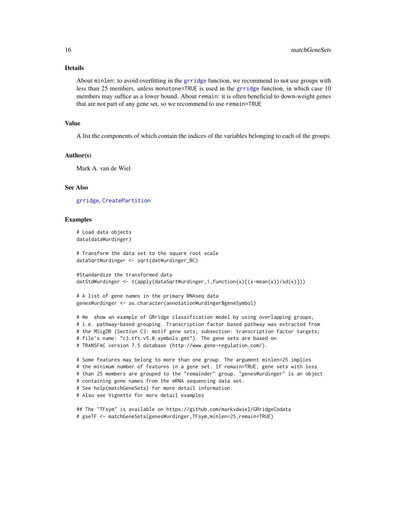## <span id="page-15-0"></span>Details

About minlen: to avoid overfitting in the [grridge](#page-9-1) function, we recommend to not use groups with less than 25 members, unless monotone=TRUE is used in the [grridge](#page-9-1) function, in which case 10 members may suffice as a lower bound. About remain: it is often beneficial to down-weight genes that are not part of any gene set, so we recommend to use remain=TRUE

## Value

A list the components of which contain the indices of the variables belonging to each of the groups.

## Author(s)

Mark A. van de Wiel

## See Also

[grridge](#page-9-1), [CreatePartition](#page-3-1)

## Examples

```
# Load data objects
data(dataWurdinger)
```
# Transform the data set to the square root scale dataSqrtWurdinger <- sqrt(datWurdinger\_BC)

```
#Standardize the transformed data
datStdWurdinger <- t(apply(dataSqrtWurdinger,1,function(x){(x-mean(x))/sd(x)}))
```

```
# A list of gene names in the primary RNAseq data
genesWurdinger <- as.character(annotationWurdinger$geneSymbol)
```
# We show an example of GRridge classification model by using overlapping groups, # i.e. pathway-based grouping. Transcription factor based pathway was extracted from # the MSigDB (Section C3: motif gene sets; subsection: transcription factor targets; # file's name: "c3.tft.v5.0.symbols.gmt"). The gene sets are based on

```
# TRANSFAC version 7.5 database (http://www.gene-regulation.com/).
```
# Some features may belong to more than one group. The argument minlen=25 implies # the minimum number of features in a gene set. If remain=TRUE, gene sets with less # than 25 members are grouped to the "remainder" group. "genesWurdinger" is an object # containing gene names from the mRNA sequencing data set. # See help(matchGeneSets) for more detail information. # Also see Vignette for more detail examples

## The "TFsym" is available on https://github.com/markvdwiel/GRridgeCodata # gseTF <- matchGeneSets(genesWurdinger,TFsym,minlen=25,remain=TRUE)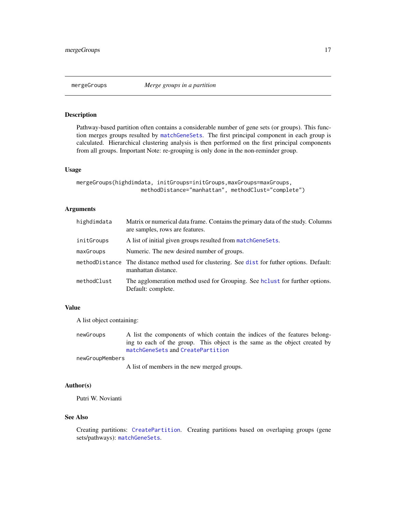<span id="page-16-0"></span>

## Description

Pathway-based partition often contains a considerable number of gene sets (or groups). This function merges groups resulted by [matchGeneSets](#page-14-1). The first principal component in each group is calculated. Hierarchical clustering analysis is then performed on the first principal components from all groups. Important Note: re-grouping is only done in the non-reminder group.

## Usage

```
mergeGroups(highdimdata, initGroups=initGroups,maxGroups=maxGroups,
                    methodDistance="manhattan", methodClust="complete")
```
## Arguments

| highdimdata | Matrix or numerical data frame. Contains the primary data of the study. Columns<br>are samples, rows are features.   |
|-------------|----------------------------------------------------------------------------------------------------------------------|
| initGroups  | A list of initial given groups resulted from match Gene Sets.                                                        |
| maxGroups   | Numeric. The new desired number of groups.                                                                           |
|             | methodDistance The distance method used for clustering. See dist for futher options. Default:<br>manhattan distance. |
| methodClust | The agglomeration method used for Grouping. See holiert for further options.<br>Default: complete.                   |

## Value

A list object containing:

newGroups A list the components of which contain the indices of the features belonging to each of the group. This object is the same as the object created by [matchGeneSets](#page-14-1) and [CreatePartition](#page-3-1)

newGroupMembers

A list of members in the new merged groups.

## Author(s)

Putri W. Novianti

## See Also

Creating partitions: [CreatePartition](#page-3-1). Creating partitions based on overlaping groups (gene sets/pathways): [matchGeneSets](#page-14-1).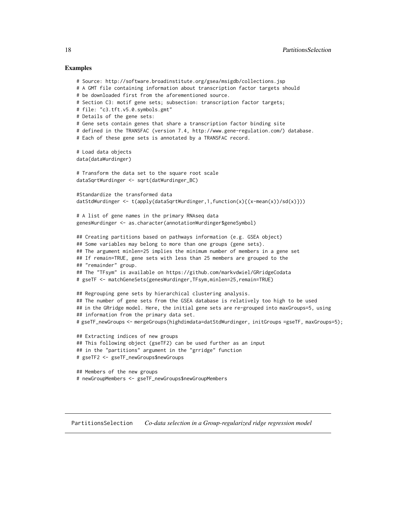## Examples

```
# Source: http://software.broadinstitute.org/gsea/msigdb/collections.jsp
# A GMT file containing information about transcription factor targets should
# be downloaded first from the aforementioned source.
# Section C3: motif gene sets; subsection: transcription factor targets;
# file: "c3.tft.v5.0.symbols.gmt"
# Details of the gene sets:
# Gene sets contain genes that share a transcription factor binding site
# defined in the TRANSFAC (version 7.4, http://www.gene-regulation.com/) database.
# Each of these gene sets is annotated by a TRANSFAC record.
# Load data objects
data(dataWurdinger)
# Transform the data set to the square root scale
dataSqrtWurdinger <- sqrt(datWurdinger_BC)
#Standardize the transformed data
datStdWurdinger <- t(apply(dataSqrtWurdinger,1,function(x){(x-mean(x))/sd(x)}))
# A list of gene names in the primary RNAseq data
genesWurdinger <- as.character(annotationWurdinger$geneSymbol)
## Creating partitions based on pathways information (e.g. GSEA object)
## Some variables may belong to more than one groups (gene sets).
## The argument minlen=25 implies the minimum number of members in a gene set
## If remain=TRUE, gene sets with less than 25 members are grouped to the
## "remainder" group.
## The "TFsym" is available on https://github.com/markvdwiel/GRridgeCodata
# gseTF <- matchGeneSets(genesWurdinger,TFsym,minlen=25,remain=TRUE)
## Regrouping gene sets by hierarchical clustering analysis.
## The number of gene sets from the GSEA database is relatively too high to be used
## in the GRridge model. Here, the initial gene sets are re-grouped into maxGroups=5, using
## information from the primary data set.
# gseTF_newGroups <- mergeGroups(highdimdata=datStdWurdinger, initGroups =gseTF, maxGroups=5);
## Extracting indices of new groups
## This following object (gseTF2) can be used further as an input
## in the "partitions" argument in the "grridge" function
# gseTF2 <- gseTF_newGroups$newGroups
## Members of the new groups
# newGroupMembers <- gseTF_newGroups$newGroupMembers
```
PartitionsSelection *Co-data selection in a Group-regularized ridge regression model*

<span id="page-17-0"></span>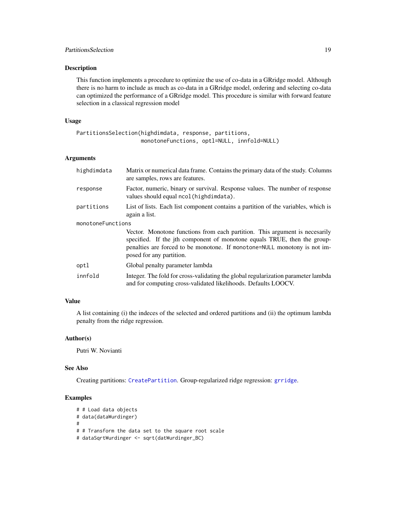## <span id="page-18-0"></span>PartitionsSelection 19

## Description

This function implements a procedure to optimize the use of co-data in a GRridge model. Although there is no harm to include as much as co-data in a GRridge model, ordering and selecting co-data can optimized the performance of a GRridge model. This procedure is similar with forward feature selection in a classical regression model

## Usage

```
PartitionsSelection(highdimdata, response, partitions,
                    monotoneFunctions, optl=NULL, innfold=NULL)
```
## Arguments

| highdimdata       | Matrix or numerical data frame. Contains the primary data of the study. Columns<br>are samples, rows are features.                                                                                                                                               |  |
|-------------------|------------------------------------------------------------------------------------------------------------------------------------------------------------------------------------------------------------------------------------------------------------------|--|
| response          | Factor, numeric, binary or survival. Response values. The number of response<br>values should equal ncol (highdimdata).                                                                                                                                          |  |
| partitions        | List of lists. Each list component contains a partition of the variables, which is<br>again a list.                                                                                                                                                              |  |
| monotoneFunctions |                                                                                                                                                                                                                                                                  |  |
|                   | Vector. Monotone functions from each partition. This argument is necesarily<br>specified. If the jth component of monotone equals TRUE, then the group-<br>penalties are forced to be monotone. If monotone=NULL monotony is not im-<br>posed for any partition. |  |
| optl              | Global penalty parameter lambda                                                                                                                                                                                                                                  |  |
| innfold           | Integer. The fold for cross-validating the global regularization parameter lambda<br>and for computing cross-validated likelihoods. Defaults LOOCV.                                                                                                              |  |

## Value

A list containing (i) the indeces of the selected and ordered partitions and (ii) the optimum lambda penalty from the ridge regression.

## Author(s)

Putri W. Novianti

## See Also

Creating partitions: [CreatePartition](#page-3-1). Group-regularized ridge regression: [grridge](#page-9-1).

## Examples

```
# # Load data objects
# data(dataWurdinger)
#
# # Transform the data set to the square root scale
# dataSqrtWurdinger <- sqrt(datWurdinger_BC)
```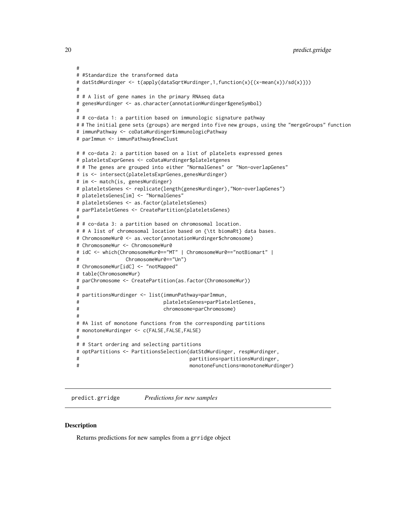```
#
# #Standardize the transformed data
# datStdWurdinger <- t(apply(dataSqrtWurdinger,1,function(x){(x-mean(x))/sd(x)}))
#
# # A list of gene names in the primary RNAseq data
# genesWurdinger <- as.character(annotationWurdinger$geneSymbol)
#
# # co-data 1: a partition based on immunologic signature pathway
# # The initial gene sets (groups) are merged into five new groups, using the "mergeGroups" function
# immunPathway <- coDataWurdinger$immunologicPathway
# parImmun <- immunPathway$newClust
# # co-data 2: a partition based on a list of platelets expressed genes
# plateletsExprGenes <- coDataWurdinger$plateletgenes
# # The genes are grouped into either "NormalGenes" or "Non-overlapGenes"
# is <- intersect(plateletsExprGenes,genesWurdinger)
# im <- match(is, genesWurdinger)
# plateletsGenes <- replicate(length(genesWurdinger),"Non-overlapGenes")
# plateletsGenes[im] <- "NormalGenes"
# plateletsGenes <- as.factor(plateletsGenes)
# parPlateletGenes <- CreatePartition(plateletsGenes)
#
# # co-data 3: a partition based on chromosomal location.
# # A list of chromosomal location based on {\tt biomaRt} data bases.
# ChromosomeWur0 <- as.vector(annotationWurdinger$chromosome)
# ChromosomeWur <- ChromosomeWur0
# idC <- which(ChromosomeWur0=="MT" | ChromosomeWur0=="notBiomart" |
# ChromosomeWur0=="Un")
# ChromosomeWur[idC] <- "notMapped"
# table(ChromosomeWur)
# parChromosome <- CreatePartition(as.factor(ChromosomeWur))
#
# partitionsWurdinger <- list(immunPathway=parImmun,
# plateletsGenes=parPlateletGenes,
# chromosome=parChromosome)
#
# #A list of monotone functions from the corresponding partitions
# monotoneWurdinger <- c(FALSE,FALSE,FALSE)
#
# # Start ordering and selecting partitions
# optPartitions <- PartitionsSelection(datStdWurdinger, respWurdinger,
# partitions=partitionsWurdinger,
# monotoneFunctions=monotoneWurdinger)
```
<span id="page-19-1"></span>predict.grridge *Predictions for new samples*

## **Description**

Returns predictions for new samples from a grridge object

<span id="page-19-0"></span>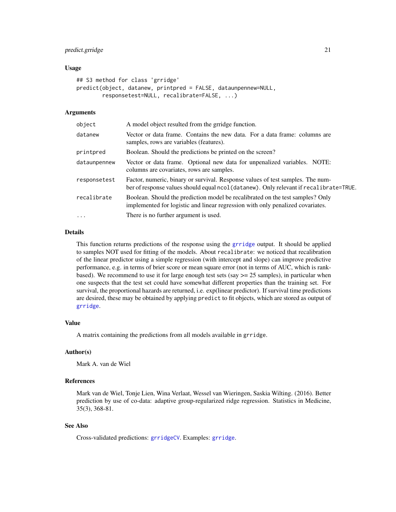## <span id="page-20-0"></span>predict.grridge 21

## Usage

```
## S3 method for class 'grridge'
predict(object, datanew, printpred = FALSE, dataunpennew=NULL,
        responsetest=NULL, recalibrate=FALSE, ...)
```
## Arguments

| object       | A model object resulted from the grridge function.                                                                                                                       |  |
|--------------|--------------------------------------------------------------------------------------------------------------------------------------------------------------------------|--|
| datanew      | Vector or data frame. Contains the new data. For a data frame: columns are<br>samples, rows are variables (features).                                                    |  |
| printpred    | Boolean. Should the predictions be printed on the screen?                                                                                                                |  |
| dataunpennew | Vector or data frame. Optional new data for unpenalized variables. NOTE:<br>columns are covariates, rows are samples.                                                    |  |
| responsetest | Factor, numeric, binary or survival. Response values of test samples. The num-<br>ber of response values should equal ncol (datanew). Only relevant if recalibrate=TRUE. |  |
| recalibrate  | Boolean. Should the prediction model be recalibrated on the test samples? Only<br>implemented for logistic and linear regression with only penalized covariates.         |  |
| $\cdots$     | There is no further argument is used.                                                                                                                                    |  |
|              |                                                                                                                                                                          |  |

## Details

This function returns predictions of the response using the [grridge](#page-9-1) output. It should be applied to samples NOT used for fitting of the models. About recalibrate: we noticed that recalibration of the linear predictor using a simple regression (with intercept and slope) can improve predictive performance, e.g. in terms of brier score or mean square error (not in terms of AUC, which is rankbased). We recommend to use it for large enough test sets (say  $>= 25$  samples), in particular when one suspects that the test set could have somewhat different properties than the training set. For survival, the proportional hazards are returned, i.e. exp(linear predictor). If survival time predictions are desired, these may be obtained by applying predict to fit objects, which are stored as output of [grridge](#page-9-1).

## Value

A matrix containing the predictions from all models available in grridge.

## Author(s)

Mark A. van de Wiel

## References

Mark van de Wiel, Tonje Lien, Wina Verlaat, Wessel van Wieringen, Saskia Wilting. (2016). Better prediction by use of co-data: adaptive group-regularized ridge regression. Statistics in Medicine, 35(3), 368-81.

## See Also

Cross-validated predictions: [grridgeCV](#page-12-1). Examples: [grridge](#page-9-1).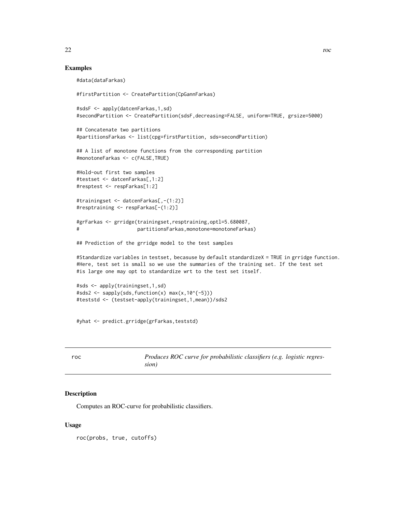## Examples

```
#data(dataFarkas)
#firstPartition <- CreatePartition(CpGannFarkas)
#sdsF <- apply(datcenFarkas,1,sd)
#secondPartition <- CreatePartition(sdsF,decreasing=FALSE, uniform=TRUE, grsize=5000)
## Concatenate two partitions
#partitionsFarkas <- list(cpg=firstPartition, sds=secondPartition)
## A list of monotone functions from the corresponding partition
#monotoneFarkas <- c(FALSE,TRUE)
#Hold-out first two samples
#testset <- datcenFarkas[,1:2]
#resptest <- respFarkas[1:2]
#trainingset <- datcenFarkas[,-(1:2)]
#resptraining <- respFarkas[-(1:2)]
#grFarkas <- grridge(trainingset,resptraining,optl=5.680087,
# partitionsFarkas,monotone=monotoneFarkas)
## Prediction of the grridge model to the test samples
#Standardize variables in testset, becasuse by default standardizeX = TRUE in grridge function.
#Here, test set is small so we use the summaries of the training set. If the test set
#is large one may opt to standardize wrt to the test set itself.
#sds <- apply(trainingset,1,sd)
#sds2 <- sapply(sds,function(x) max(x, 10^{(-5)}))#teststd <- (testset-apply(trainingset,1,mean))/sds2
```
#yhat <- predict.grridge(grFarkas,teststd)

<span id="page-21-1"></span>

| roc | Produces ROC curve for probabilistic classifiers (e.g. logistic regres- |
|-----|-------------------------------------------------------------------------|
|     | sion)                                                                   |

## Description

Computes an ROC-curve for probabilistic classifiers.

## Usage

roc(probs, true, cutoffs)

<span id="page-21-0"></span>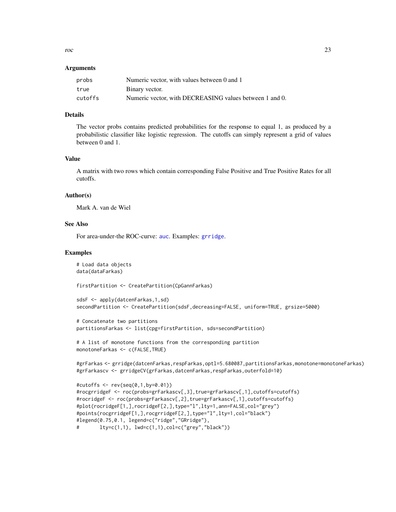<span id="page-22-0"></span>roc 23

## Arguments

| probs   | Numeric vector, with values between 0 and 1             |
|---------|---------------------------------------------------------|
| true    | Binary vector.                                          |
| cutoffs | Numeric vector, with DECREASING values between 1 and 0. |

## Details

The vector probs contains predicted probabilities for the response to equal 1, as produced by a probabilistic classifier like logistic regression. The cutoffs can simply represent a grid of values between 0 and 1.

## Value

A matrix with two rows which contain corresponding False Positive and True Positive Rates for all cutoffs.

## Author(s)

Mark A. van de Wiel

## See Also

For area-under-the ROC-curve: [auc](#page-2-1). Examples: [grridge](#page-9-1).

## Examples

```
# Load data objects
data(dataFarkas)
```
firstPartition <- CreatePartition(CpGannFarkas)

```
sdsF <- apply(datcenFarkas,1,sd)
secondPartition <- CreatePartition(sdsF,decreasing=FALSE, uniform=TRUE, grsize=5000)
```

```
# Concatenate two partitions
partitionsFarkas <- list(cpg=firstPartition, sds=secondPartition)
```

```
# A list of monotone functions from the corresponding partition
monotoneFarkas <- c(FALSE,TRUE)
```

```
#grFarkas <- grridge(datcenFarkas,respFarkas,optl=5.680087,partitionsFarkas,monotone=monotoneFarkas)
#grFarkascv <- grridgeCV(grFarkas,datcenFarkas,respFarkas,outerfold=10)
```

```
#cutoffs <- rev(seq(0,1,by=0.01))
#rocgrridgeF <- roc(probs=grFarkascv[,3],true=grFarkascv[,1],cutoffs=cutoffs)
#rocridgeF <- roc(probs=grFarkascv[,2],true=grFarkascv[,1],cutoffs=cutoffs)
#plot(rocridgeF[1,],rocridgeF[2,],type="l",lty=1,ann=FALSE,col="grey")
#points(rocgrridgeF[1,],rocgrridgeF[2,],type="l",lty=1,col="black")
#legend(0.75,0.1, legend=c("ridge","GRridge"),
# lty=c(1,1), lwd=c(1,1),col=c("grey","black"))
```